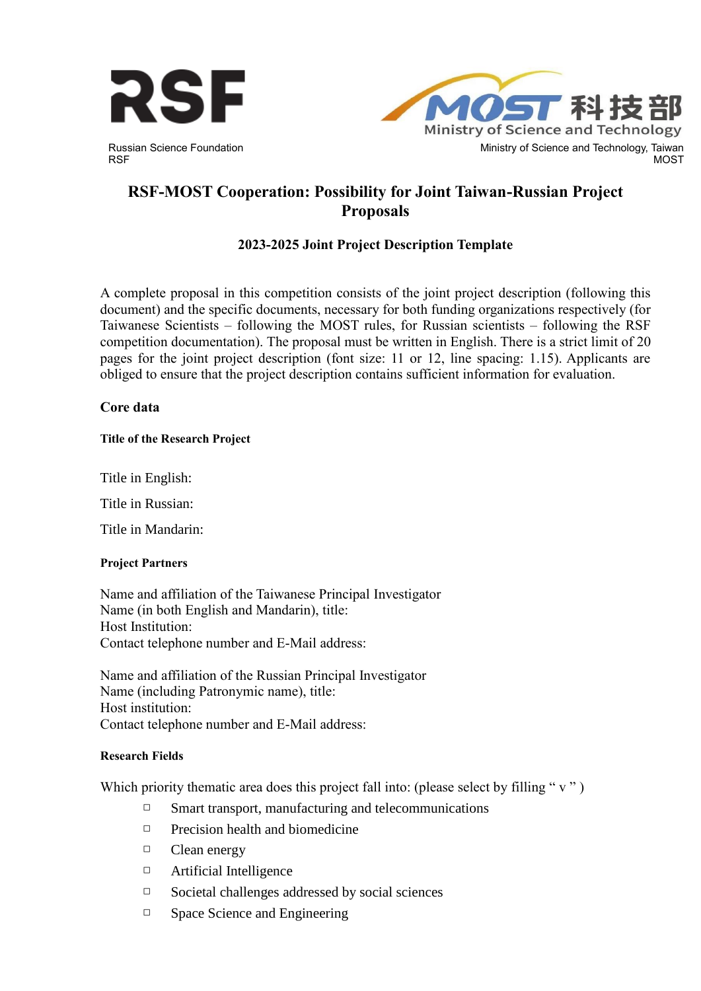

Ministry of Science and Technology Ministry of Science and Technology, Taiwan MOST

# **RSF-MOST Cooperation: Possibility for Joint Taiwan-Russian Project Proposals**

# **2023-2025 Joint Project Description Template**

A complete proposal in this competition consists of the joint project description (following this document) and the specific documents, necessary for both funding organizations respectively (for Taiwanese Scientists – following the MOST rules, for Russian scientists – following the RSF competition documentation). The proposal must be written in English. There is a strict limit of 20 pages for the joint project description (font size: 11 or 12, line spacing: 1.15). Applicants are obliged to ensure that the project description contains sufficient information for evaluation.

# **Core data**

#### **Title of the Research Project**

Title in English:

Title in Russian:

Title in Mandarin:

# **Project Partners**

Name and affiliation of the Taiwanese Principal Investigator Name (in both English and Mandarin), title: Host Institution: Contact telephone number and E-Mail address:

Name and affiliation of the Russian Principal Investigator Name (including Patronymic name), title: Host institution: Contact telephone number and E-Mail address:

#### **Research Fields**

Which priority thematic area does this project fall into: (please select by filling " $v$ ")

- $\Box$  Smart transport, manufacturing and telecommunications
- $\Box$  Precision health and biomedicine
- □ Clean energy
- □ Artificial Intelligence
- $\Box$  Societal challenges addressed by social sciences
- □ Space Science and Engineering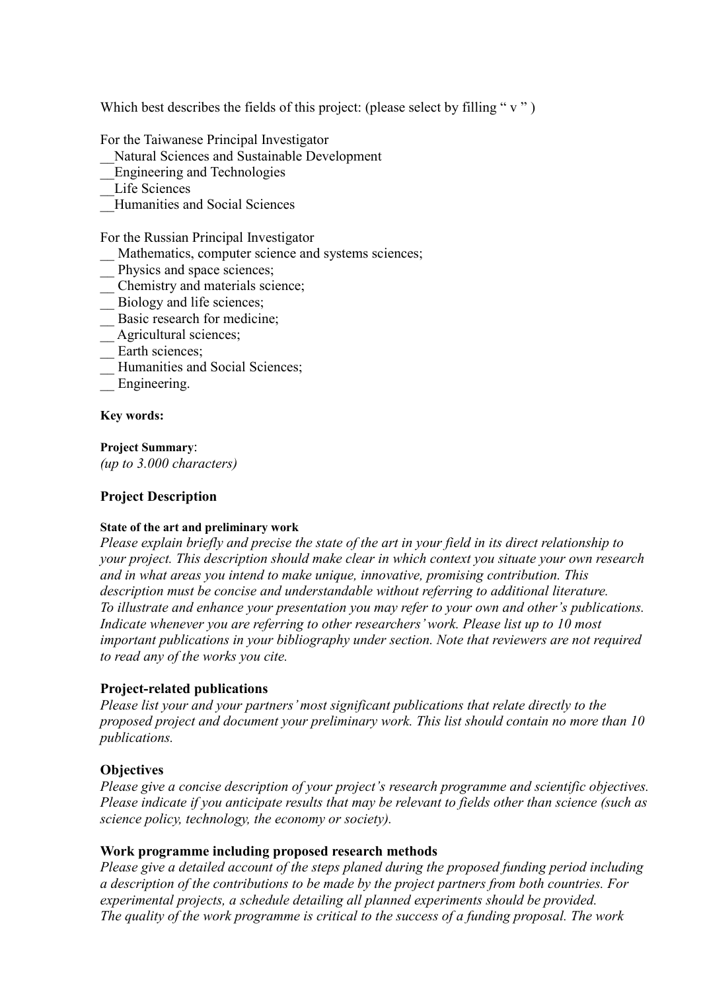Which best describes the fields of this project: (please select by filling " $v$ ")

For the Taiwanese Principal Investigator

\_\_Natural Sciences and Sustainable Development

- \_\_Engineering and Technologies
- Life Sciences
- **Humanities and Social Sciences**

For the Russian Principal Investigator

- Mathematics, computer science and systems sciences;
- Physics and space sciences;
- \_\_ Chemistry and materials science;
- \_\_ Biology and life sciences;
- Basic research for medicine;
- Agricultural sciences;
- Earth sciences;
- Humanities and Social Sciences;
- Engineering.

**Key words:**

**Project Summary**: *(up to 3.000 characters)*

# **Project Description**

# **State of the art and preliminary work**

*Please explain briefly and precise the state of the art in your field in its direct relationship to your project. This description should make clear in which context you situate your own research and in what areas you intend to make unique, innovative, promising contribution. This description must be concise and understandable without referring to additional literature. To illustrate and enhance your presentation you may refer to your own and other's publications. Indicate whenever you are referring to other researchers' work. Please list up to 10 most important publications in your bibliography under section. Note that reviewers are not required to read any of the works you cite.*

# **Project-related publications**

*Please list your and your partners' most significant publications that relate directly to the proposed project and document your preliminary work. This list should contain no more than 10 publications.*

# **Objectives**

*Please give a concise description of your project's research programme and scientific objectives. Please indicate if you anticipate results that may be relevant to fields other than science (such as science policy, technology, the economy or society).* 

# **Work programme including proposed research methods**

*Please give a detailed account of the steps planed during the proposed funding period including a description of the contributions to be made by the project partners from both countries. For experimental projects, a schedule detailing all planned experiments should be provided. The quality of the work programme is critical to the success of a funding proposal. The work*